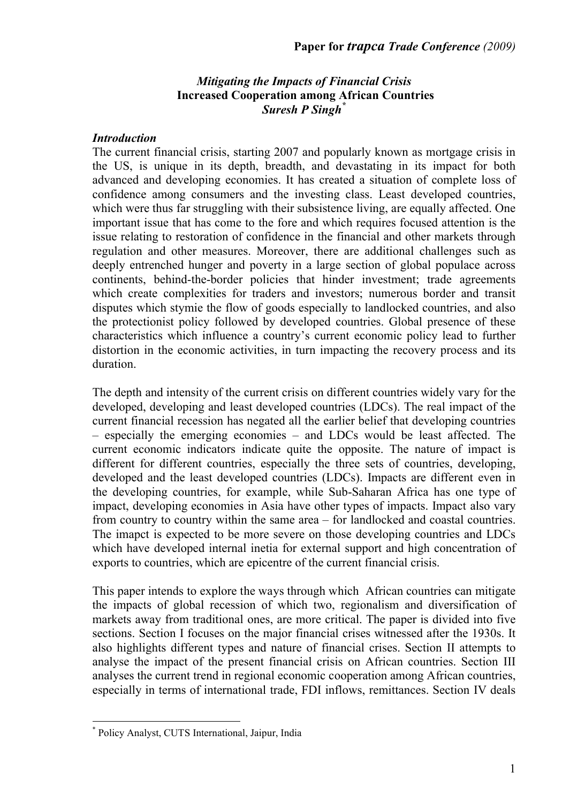### *Mitigating the Impacts of Financial Crisis* **Increased Cooperation among African Countries** *Suresh P Singh\**

### *Introduction*

The current financial crisis, starting 2007 and popularly known as mortgage crisis in the US, is unique in its depth, breadth, and devastating in its impact for both advanced and developing economies. It has created a situation of complete loss of confidence among consumers and the investing class. Least developed countries, which were thus far struggling with their subsistence living, are equally affected. One important issue that has come to the fore and which requires focused attention is the issue relating to restoration of confidence in the financial and other markets through regulation and other measures. Moreover, there are additional challenges such as deeply entrenched hunger and poverty in a large section of global populace across continents, behind-the-border policies that hinder investment; trade agreements which create complexities for traders and investors; numerous border and transit disputes which stymie the flow of goods especially to landlocked countries, and also the protectionist policy followed by developed countries. Global presence of these characteristics which influence a country's current economic policy lead to further distortion in the economic activities, in turn impacting the recovery process and its duration.

The depth and intensity of the current crisis on different countries widely vary for the developed, developing and least developed countries (LDCs). The real impact of the current financial recession has negated all the earlier belief that developing countries – especially the emerging economies – and LDCs would be least affected. The current economic indicators indicate quite the opposite. The nature of impact is different for different countries, especially the three sets of countries, developing, developed and the least developed countries (LDCs). Impacts are different even in the developing countries, for example, while Sub-Saharan Africa has one type of impact, developing economies in Asia have other types of impacts. Impact also vary from country to country within the same area – for landlocked and coastal countries. The imapct is expected to be more severe on those developing countries and LDCs which have developed internal inetia for external support and high concentration of exports to countries, which are epicentre of the current financial crisis.

This paper intends to explore the ways through which African countries can mitigate the impacts of global recession of which two, regionalism and diversification of markets away from traditional ones, are more critical. The paper is divided into five sections. Section I focuses on the major financial crises witnessed after the 1930s. It also highlights different types and nature of financial crises. Section II attempts to analyse the impact of the present financial crisis on African countries. Section III analyses the current trend in regional economic cooperation among African countries, especially in terms of international trade, FDI inflows, remittances. Section IV deals

 $\overline{a}$ 

<sup>\*</sup> Policy Analyst, CUTS International, Jaipur, India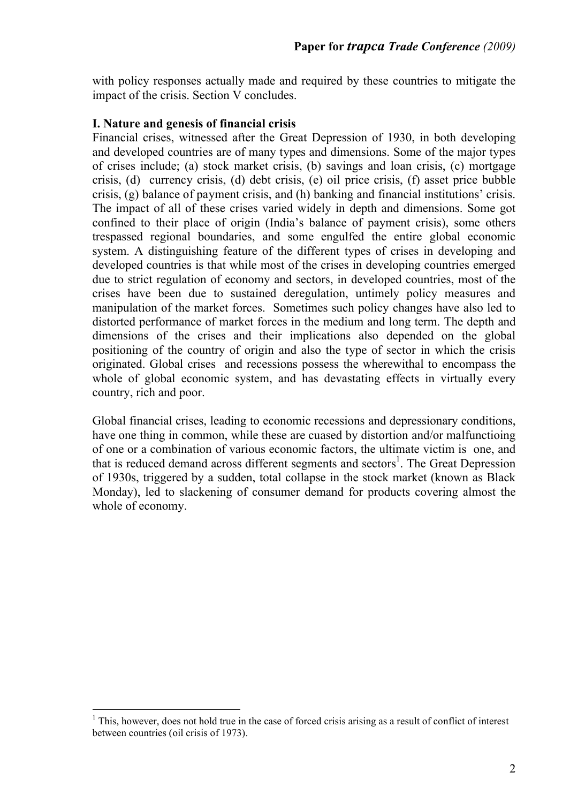with policy responses actually made and required by these countries to mitigate the impact of the crisis. Section V concludes.

## **I. Nature and genesis of financial crisis**

Financial crises, witnessed after the Great Depression of 1930, in both developing and developed countries are of many types and dimensions. Some of the major types of crises include; (a) stock market crisis, (b) savings and loan crisis, (c) mortgage crisis, (d) currency crisis, (d) debt crisis, (e) oil price crisis, (f) asset price bubble crisis, (g) balance of payment crisis, and (h) banking and financial institutions' crisis. The impact of all of these crises varied widely in depth and dimensions. Some got confined to their place of origin (India's balance of payment crisis), some others trespassed regional boundaries, and some engulfed the entire global economic system. A distinguishing feature of the different types of crises in developing and developed countries is that while most of the crises in developing countries emerged due to strict regulation of economy and sectors, in developed countries, most of the crises have been due to sustained deregulation, untimely policy measures and manipulation of the market forces. Sometimes such policy changes have also led to distorted performance of market forces in the medium and long term. The depth and dimensions of the crises and their implications also depended on the global positioning of the country of origin and also the type of sector in which the crisis originated. Global crises and recessions possess the wherewithal to encompass the whole of global economic system, and has devastating effects in virtually every country, rich and poor.

Global financial crises, leading to economic recessions and depressionary conditions, have one thing in common, while these are cuased by distortion and/or malfunctioing of one or a combination of various economic factors, the ultimate victim is one, and that is reduced demand across different segments and sectors<sup>1</sup>. The Great Depression of 1930s, triggered by a sudden, total collapse in the stock market (known as Black Monday), led to slackening of consumer demand for products covering almost the whole of economy.

 $\overline{a}$ 

 $<sup>1</sup>$  This, however, does not hold true in the case of forced crisis arising as a result of conflict of interest</sup> between countries (oil crisis of 1973).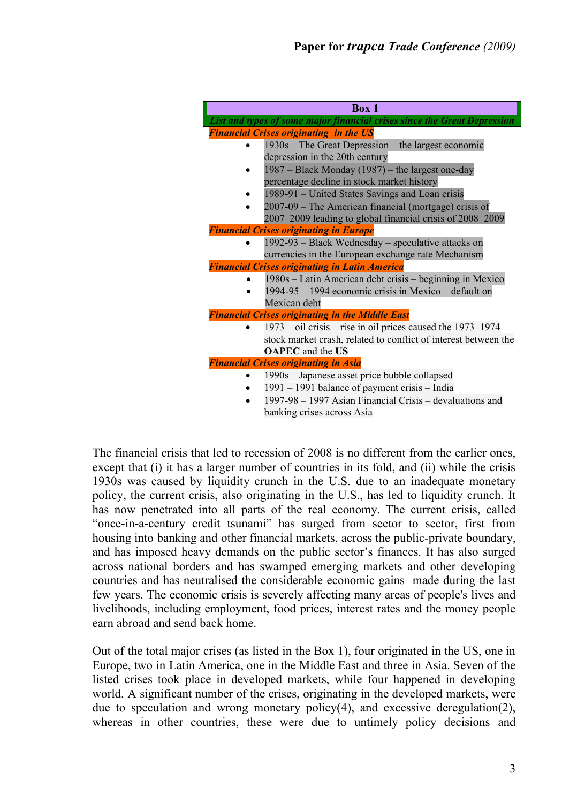| <b>Box 1</b>                                                             |  |  |  |  |  |
|--------------------------------------------------------------------------|--|--|--|--|--|
| List and types of some major financial crises since the Great Depression |  |  |  |  |  |
| <b>Financial Crises originating in the US</b>                            |  |  |  |  |  |
| 1930s – The Great Depression – the largest economic                      |  |  |  |  |  |
| depression in the 20th century                                           |  |  |  |  |  |
| 1987 – Black Monday (1987) – the largest one-day                         |  |  |  |  |  |
| percentage decline in stock market history                               |  |  |  |  |  |
| 1989-91 – United States Savings and Loan crisis                          |  |  |  |  |  |
| 2007-09 - The American financial (mortgage) crisis of                    |  |  |  |  |  |
| 2007–2009 leading to global financial crisis of 2008–2009                |  |  |  |  |  |
| <b>Financial Crises originating in Europe</b>                            |  |  |  |  |  |
| 1992-93 - Black Wednesday - speculative attacks on                       |  |  |  |  |  |
| currencies in the European exchange rate Mechanism                       |  |  |  |  |  |
| <b>Financial Crises originating in Latin America</b>                     |  |  |  |  |  |
| 1980s – Latin American debt crisis – beginning in Mexico                 |  |  |  |  |  |
| 1994-95 – 1994 economic crisis in Mexico – default on                    |  |  |  |  |  |
| Mexican debt                                                             |  |  |  |  |  |
| <b>Financial Crises originating in the Middle East</b>                   |  |  |  |  |  |
| $1973 - oil crisis - rise in oil prices caused the 1973 - 1974$          |  |  |  |  |  |
| stock market crash, related to conflict of interest between the          |  |  |  |  |  |
| <b>OAPEC</b> and the US                                                  |  |  |  |  |  |
| <b>Financial Crises originating in Asia</b>                              |  |  |  |  |  |
| 1990s – Japanese asset price bubble collapsed                            |  |  |  |  |  |
| 1991 – 1991 balance of payment crisis – India                            |  |  |  |  |  |
| 1997-98 – 1997 Asian Financial Crisis – devaluations and                 |  |  |  |  |  |
| banking crises across Asia                                               |  |  |  |  |  |
|                                                                          |  |  |  |  |  |

The financial crisis that led to recession of 2008 is no different from the earlier ones, except that (i) it has a larger number of countries in its fold, and (ii) while the crisis 1930s was caused by liquidity crunch in the U.S. due to an inadequate monetary policy, the current crisis, also originating in the U.S., has led to liquidity crunch. It has now penetrated into all parts of the real economy. The current crisis, called "once-in-a-century credit tsunami" has surged from sector to sector, first from housing into banking and other financial markets, across the public-private boundary, and has imposed heavy demands on the public sector's finances. It has also surged across national borders and has swamped emerging markets and other developing countries and has neutralised the considerable economic gains made during the last few years. The economic crisis is severely affecting many areas of people's lives and livelihoods, including employment, food prices, interest rates and the money people earn abroad and send back home.

Out of the total major crises (as listed in the Box 1), four originated in the US, one in Europe, two in Latin America, one in the Middle East and three in Asia. Seven of the listed crises took place in developed markets, while four happened in developing world. A significant number of the crises, originating in the developed markets, were due to speculation and wrong monetary policy(4), and excessive deregulation(2), whereas in other countries, these were due to untimely policy decisions and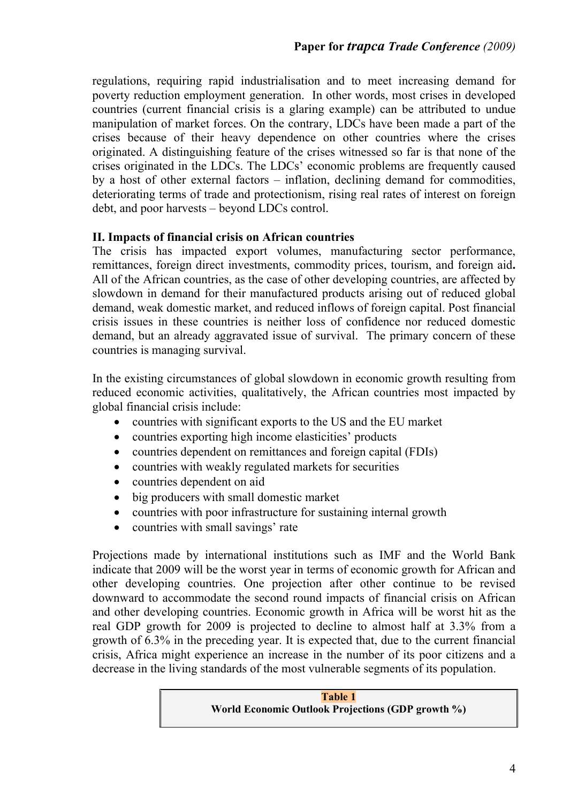regulations, requiring rapid industrialisation and to meet increasing demand for poverty reduction employment generation. In other words, most crises in developed countries (current financial crisis is a glaring example) can be attributed to undue manipulation of market forces. On the contrary, LDCs have been made a part of the crises because of their heavy dependence on other countries where the crises originated. A distinguishing feature of the crises witnessed so far is that none of the crises originated in the LDCs. The LDCs' economic problems are frequently caused by a host of other external factors – inflation, declining demand for commodities, deteriorating terms of trade and protectionism, rising real rates of interest on foreign debt, and poor harvests – beyond LDCs control.

# **II. Impacts of financial crisis on African countries**

The crisis has impacted export volumes, manufacturing sector performance, remittances, foreign direct investments, commodity prices, tourism, and foreign aid**.**  All of the African countries, as the case of other developing countries, are affected by slowdown in demand for their manufactured products arising out of reduced global demand, weak domestic market, and reduced inflows of foreign capital. Post financial crisis issues in these countries is neither loss of confidence nor reduced domestic demand, but an already aggravated issue of survival. The primary concern of these countries is managing survival.

In the existing circumstances of global slowdown in economic growth resulting from reduced economic activities, qualitatively, the African countries most impacted by global financial crisis include:

- countries with significant exports to the US and the EU market
- countries exporting high income elasticities' products
- countries dependent on remittances and foreign capital (FDIs)
- countries with weakly regulated markets for securities
- countries dependent on aid
- big producers with small domestic market
- countries with poor infrastructure for sustaining internal growth
- countries with small savings' rate

Projections made by international institutions such as IMF and the World Bank indicate that 2009 will be the worst year in terms of economic growth for African and other developing countries. One projection after other continue to be revised downward to accommodate the second round impacts of financial crisis on African and other developing countries. Economic growth in Africa will be worst hit as the real GDP growth for 2009 is projected to decline to almost half at 3.3% from a growth of 6.3% in the preceding year. It is expected that, due to the current financial crisis, Africa might experience an increase in the number of its poor citizens and a decrease in the living standards of the most vulnerable segments of its population.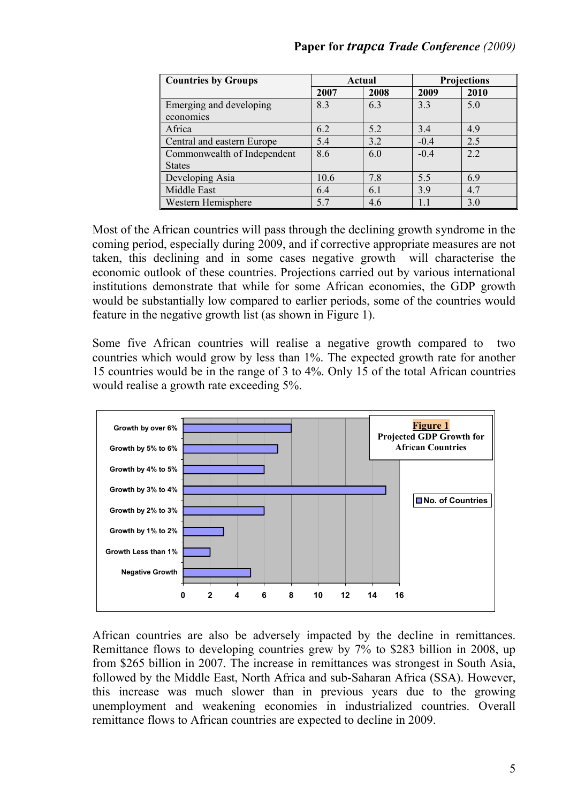| <b>Countries by Groups</b>  | Actual |      | <b>Projections</b> |      |
|-----------------------------|--------|------|--------------------|------|
|                             | 2007   | 2008 | 2009               | 2010 |
| Emerging and developing     | 8.3    | 6.3  | 3.3                | 5.0  |
| economies                   |        |      |                    |      |
| Africa                      | 6.2    | 5.2  | 3.4                | 4.9  |
| Central and eastern Europe  | 5.4    | 3.2  | $-0.4$             | 2.5  |
| Commonwealth of Independent | 8.6    | 6.0  | $-0.4$             | 2.2  |
| <b>States</b>               |        |      |                    |      |
| Developing Asia             | 10.6   | 7.8  | 5.5                | 6.9  |
| Middle East                 | 6.4    | 6.1  | 3.9                | 4.7  |
| Western Hemisphere          | 5.7    | 4.6  |                    | 3.0  |

Most of the African countries will pass through the declining growth syndrome in the coming period, especially during 2009, and if corrective appropriate measures are not taken, this declining and in some cases negative growth will characterise the economic outlook of these countries. Projections carried out by various international institutions demonstrate that while for some African economies, the GDP growth would be substantially low compared to earlier periods, some of the countries would feature in the negative growth list (as shown in Figure 1).

Some five African countries will realise a negative growth compared to two countries which would grow by less than 1%. The expected growth rate for another 15 countries would be in the range of 3 to 4%. Only 15 of the total African countries would realise a growth rate exceeding 5%.



African countries are also be adversely impacted by the decline in remittances. Remittance flows to developing countries grew by 7% to \$283 billion in 2008, up from \$265 billion in 2007. The increase in remittances was strongest in South Asia, followed by the Middle East, North Africa and sub-Saharan Africa (SSA). However, this increase was much slower than in previous years due to the growing unemployment and weakening economies in industrialized countries. Overall remittance flows to African countries are expected to decline in 2009.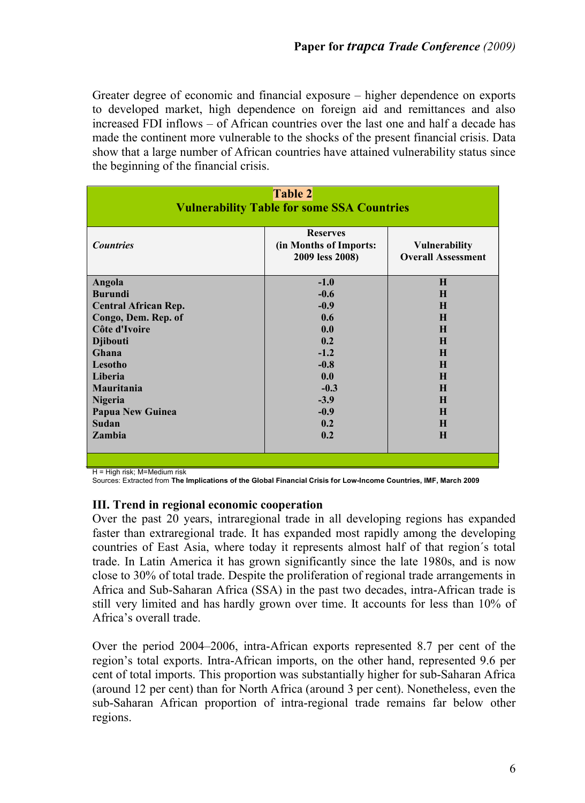Greater degree of economic and financial exposure – higher dependence on exports to developed market, high dependence on foreign aid and remittances and also increased FDI inflows – of African countries over the last one and half a decade has made the continent more vulnerable to the shocks of the present financial crisis. Data show that a large number of African countries have attained vulnerability status since the beginning of the financial crisis.

| <b>Table 2</b><br><b>Vulnerability Table for some SSA Countries</b> |                                                                                                                   |         |  |  |  |
|---------------------------------------------------------------------|-------------------------------------------------------------------------------------------------------------------|---------|--|--|--|
| <b>Countries</b>                                                    | <b>Reserves</b><br>(in Months of Imports:<br><b>Vulnerability</b><br><b>Overall Assessment</b><br>2009 less 2008) |         |  |  |  |
| Angola                                                              | $-1.0$                                                                                                            | H       |  |  |  |
| <b>Burundi</b>                                                      | $-0.6$                                                                                                            | н       |  |  |  |
| <b>Central African Rep.</b>                                         | $-0.9$                                                                                                            | H       |  |  |  |
| Congo, Dem. Rep. of                                                 | 0.6                                                                                                               | $\bf H$ |  |  |  |
| Côte d'Ivoire                                                       | 0.0                                                                                                               | H       |  |  |  |
| <b>Djibouti</b>                                                     | 0.2                                                                                                               | $\bf H$ |  |  |  |
| Ghana                                                               | $-1.2$                                                                                                            | н       |  |  |  |
| Lesotho                                                             | $-0.8$                                                                                                            | H       |  |  |  |
| Liberia                                                             | 0.0                                                                                                               | $\bf H$ |  |  |  |
| <b>Mauritania</b>                                                   | $-0.3$                                                                                                            | $\bf H$ |  |  |  |
| <b>Nigeria</b>                                                      | $-3.9$                                                                                                            | $\bf H$ |  |  |  |
| <b>Papua New Guinea</b>                                             | $-0.9$                                                                                                            | Н       |  |  |  |
| Sudan                                                               | 0.2                                                                                                               | н       |  |  |  |
| <b>Zambia</b>                                                       | 0.2                                                                                                               | H       |  |  |  |
|                                                                     |                                                                                                                   |         |  |  |  |

H = High risk; M=Medium risk

Sources: Extracted from **The Implications of the Global Financial Crisis for Low-Income Countries, IMF, March 2009**

### **III. Trend in regional economic cooperation**

Over the past 20 years, intraregional trade in all developing regions has expanded faster than extraregional trade. It has expanded most rapidly among the developing countries of East Asia, where today it represents almost half of that region´s total trade. In Latin America it has grown significantly since the late 1980s, and is now close to 30% of total trade. Despite the proliferation of regional trade arrangements in Africa and Sub-Saharan Africa (SSA) in the past two decades, intra-African trade is still very limited and has hardly grown over time. It accounts for less than 10% of Africa's overall trade.

Over the period 2004–2006, intra-African exports represented 8.7 per cent of the region's total exports. Intra-African imports, on the other hand, represented 9.6 per cent of total imports. This proportion was substantially higher for sub-Saharan Africa (around 12 per cent) than for North Africa (around 3 per cent). Nonetheless, even the sub-Saharan African proportion of intra-regional trade remains far below other regions.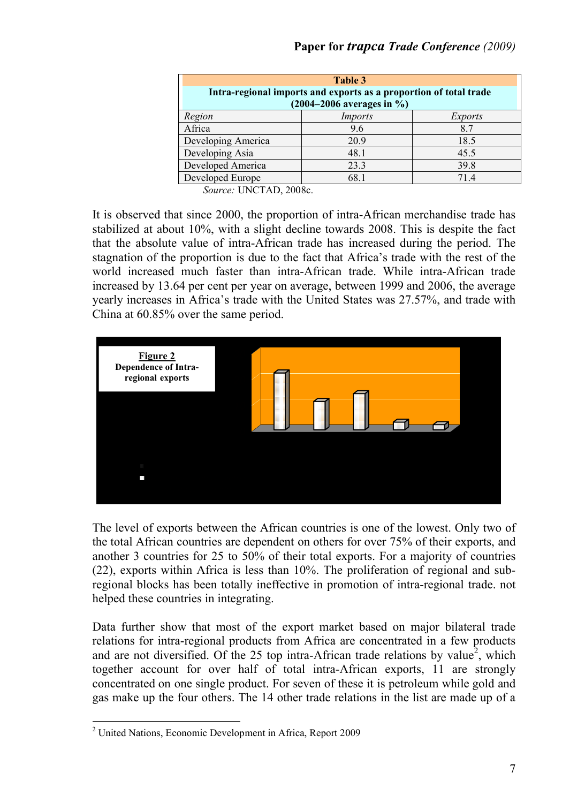| Table 3<br>Intra-regional imports and exports as a proportion of total trade<br>$(2004 - 2006$ averages in %) |         |         |  |  |  |
|---------------------------------------------------------------------------------------------------------------|---------|---------|--|--|--|
| Region                                                                                                        | Imports | Exports |  |  |  |
| Africa                                                                                                        | 9.6     | 8.7     |  |  |  |
| Developing America                                                                                            | 20.9    | 18.5    |  |  |  |
| Developing Asia                                                                                               | 48.1    | 45.5    |  |  |  |
| Developed America                                                                                             | 23.3    | 39.8    |  |  |  |
| Developed Europe                                                                                              | 68.1    | 714     |  |  |  |

*Source:* UNCTAD, 2008c.

It is observed that since 2000, the proportion of intra-African merchandise trade has stabilized at about 10%, with a slight decline towards 2008. This is despite the fact that the absolute value of intra-African trade has increased during the period. The stagnation of the proportion is due to the fact that Africa's trade with the rest of the world increased much faster than intra-African trade. While intra-African trade increased by 13.64 per cent per year on average, between 1999 and 2006, the average yearly increases in Africa's trade with the United States was 27.57%, and trade with China at 60.85% over the same period.



The level of exports between the African countries is one of the lowest. Only two of the total African countries are dependent on others for over 75% of their exports, and another 3 countries for 25 to 50% of their total exports. For a majority of countries (22), exports within Africa is less than 10%. The proliferation of regional and subregional blocks has been totally ineffective in promotion of intra-regional trade. not helped these countries in integrating.

Data further show that most of the export market based on major bilateral trade relations for intra-regional products from Africa are concentrated in a few products and are not diversified. Of the 25 top intra-African trade relations by value<sup>2</sup>, which together account for over half of total intra-African exports, 11 are strongly concentrated on one single product. For seven of these it is petroleum while gold and gas make up the four others. The 14 other trade relations in the list are made up of a

<sup>&</sup>lt;u>.</u> <sup>2</sup> United Nations, Economic Development in Africa, Report 2009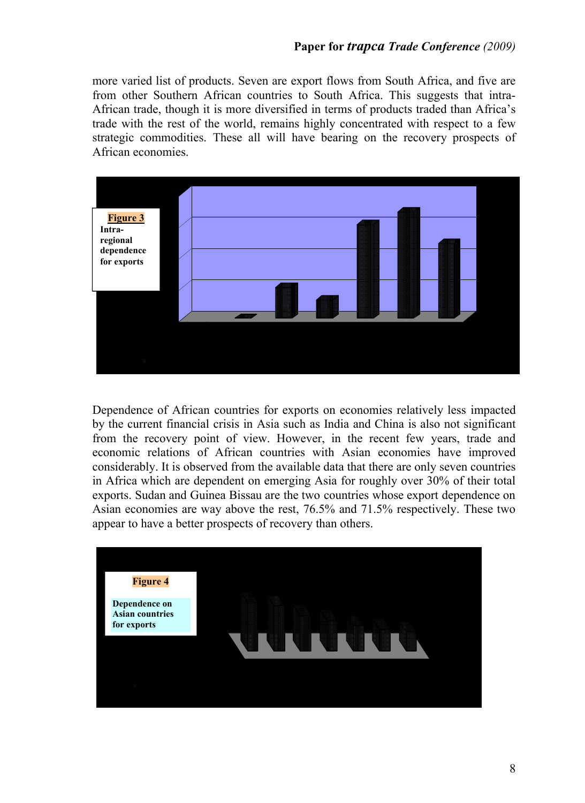more varied list of products. Seven are export flows from South Africa, and five are from other Southern African countries to South Africa. This suggests that intra-African trade, though it is more diversified in terms of products traded than Africa's trade with the rest of the world, remains highly concentrated with respect to a few strategic commodities. These all will have bearing on the recovery prospects of African economies.



Dependence of African countries for exports on economies relatively less impacted by the current financial crisis in Asia such as India and China is also not significant from the recovery point of view. However, in the recent few years, trade and economic relations of African countries with Asian economies have improved considerably. It is observed from the available data that there are only seven countries in Africa which are dependent on emerging Asia for roughly over 30% of their total exports. Sudan and Guinea Bissau are the two countries whose export dependence on Asian economies are way above the rest, 76.5% and 71.5% respectively. These two appear to have a better prospects of recovery than others.

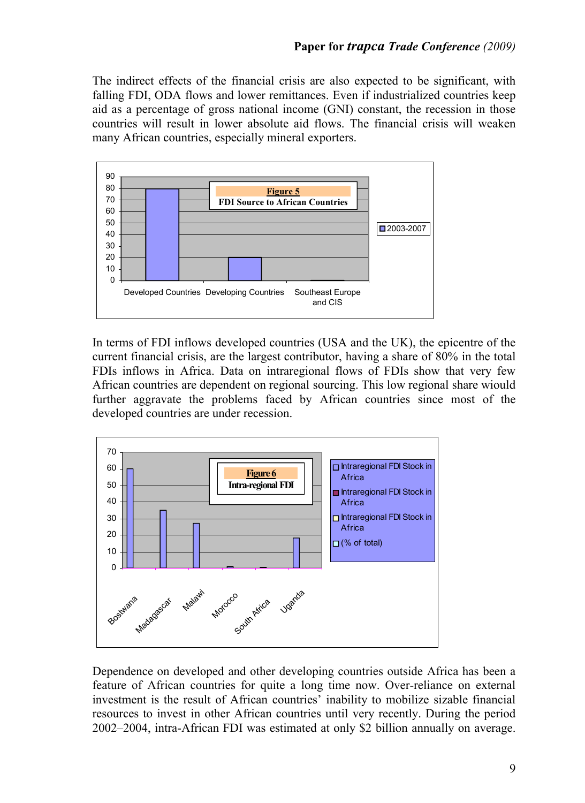The indirect effects of the financial crisis are also expected to be significant, with falling FDI, ODA flows and lower remittances. Even if industrialized countries keep aid as a percentage of gross national income (GNI) constant, the recession in those countries will result in lower absolute aid flows. The financial crisis will weaken many African countries, especially mineral exporters.



In terms of FDI inflows developed countries (USA and the UK), the epicentre of the current financial crisis, are the largest contributor, having a share of 80% in the total FDIs inflows in Africa. Data on intraregional flows of FDIs show that very few African countries are dependent on regional sourcing. This low regional share wiould further aggravate the problems faced by African countries since most of the developed countries are under recession.



Dependence on developed and other developing countries outside Africa has been a feature of African countries for quite a long time now. Over-reliance on external investment is the result of African countries' inability to mobilize sizable financial resources to invest in other African countries until very recently. During the period 2002–2004, intra-African FDI was estimated at only \$2 billion annually on average.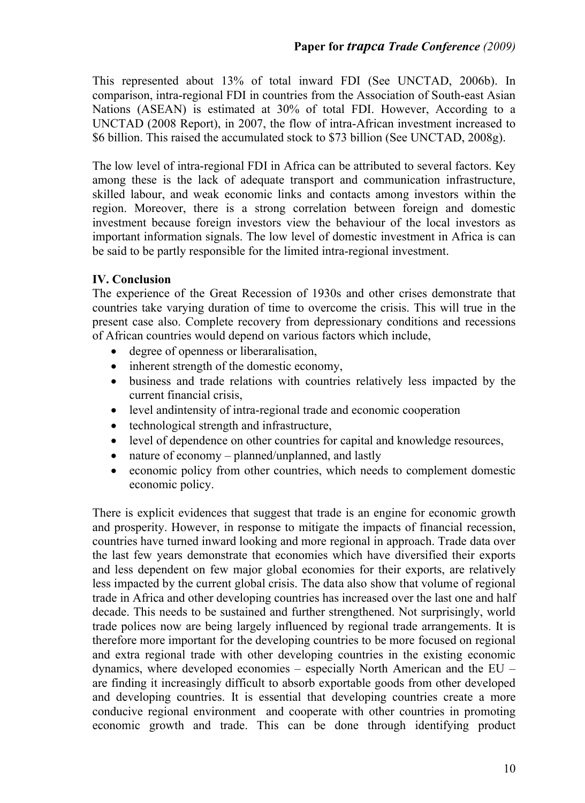This represented about 13% of total inward FDI (See UNCTAD, 2006b). In comparison, intra-regional FDI in countries from the Association of South-east Asian Nations (ASEAN) is estimated at 30% of total FDI. However, According to a UNCTAD (2008 Report), in 2007, the flow of intra-African investment increased to \$6 billion. This raised the accumulated stock to \$73 billion (See UNCTAD, 2008g).

The low level of intra-regional FDI in Africa can be attributed to several factors. Key among these is the lack of adequate transport and communication infrastructure, skilled labour, and weak economic links and contacts among investors within the region. Moreover, there is a strong correlation between foreign and domestic investment because foreign investors view the behaviour of the local investors as important information signals. The low level of domestic investment in Africa is can be said to be partly responsible for the limited intra-regional investment.

## **IV. Conclusion**

The experience of the Great Recession of 1930s and other crises demonstrate that countries take varying duration of time to overcome the crisis. This will true in the present case also. Complete recovery from depressionary conditions and recessions of African countries would depend on various factors which include,

- degree of openness or liberaralisation,
- inherent strength of the domestic economy,
- business and trade relations with countries relatively less impacted by the current financial crisis,
- level andintensity of intra-regional trade and economic cooperation
- technological strength and infrastructure,
- level of dependence on other countries for capital and knowledge resources,
- nature of economy planned/unplanned, and lastly
- economic policy from other countries, which needs to complement domestic economic policy.

There is explicit evidences that suggest that trade is an engine for economic growth and prosperity. However, in response to mitigate the impacts of financial recession, countries have turned inward looking and more regional in approach. Trade data over the last few years demonstrate that economies which have diversified their exports and less dependent on few major global economies for their exports, are relatively less impacted by the current global crisis. The data also show that volume of regional trade in Africa and other developing countries has increased over the last one and half decade. This needs to be sustained and further strengthened. Not surprisingly, world trade polices now are being largely influenced by regional trade arrangements. It is therefore more important for the developing countries to be more focused on regional and extra regional trade with other developing countries in the existing economic dynamics, where developed economies – especially North American and the EU – are finding it increasingly difficult to absorb exportable goods from other developed and developing countries. It is essential that developing countries create a more conducive regional environment and cooperate with other countries in promoting economic growth and trade. This can be done through identifying product